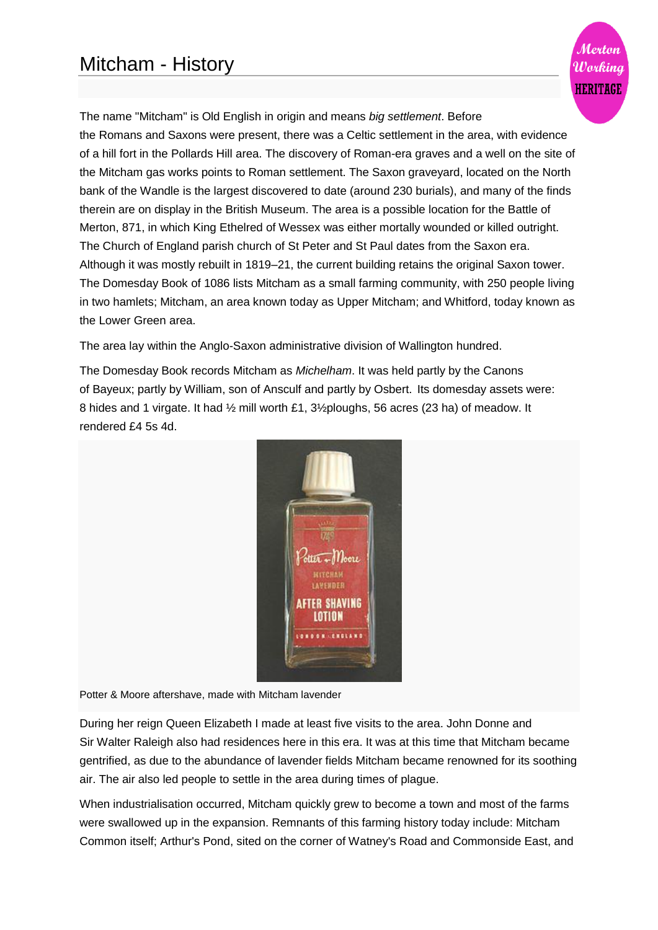

The name "Mitcham" is [Old English](http://en.wikipedia.org/wiki/Old_English) in origin and means *big settlement*. Before the [Romans](http://en.wikipedia.org/wiki/Roman_Britain) and [Saxons](http://en.wikipedia.org/wiki/Saxons) were present, there was a [Celtic](http://en.wikipedia.org/wiki/Britons_(historical)) settlement in the area, with evidence of a [hill fort](http://en.wikipedia.org/wiki/Hill_fort) in the Pollards Hill area. The discovery of Roman-era graves and a well on the site of the Mitcham gas works points to Roman settlement. The Saxon graveyard, located on the North bank of the Wandle is the largest discovered to date (around 230 burials), and many of the finds therein are on display in the [British Museum.](http://en.wikipedia.org/wiki/British_Museum) The area is a possible location for the [Battle of](http://en.wikipedia.org/wiki/Battle_of_Merton)  [Merton,](http://en.wikipedia.org/wiki/Battle_of_Merton) 871, in which King [Ethelred of Wessex](http://en.wikipedia.org/wiki/Ethelred_of_Wessex) was either mortally wounded or killed outright. The [Church of England parish church](http://en.wikipedia.org/wiki/Church_of_England_parish_church) of [St Peter and St Paul](http://en.wikipedia.org/wiki/Feast_of_Saints_Peter_and_Paul) dates from the Saxon era. Although it was mostly rebuilt in 1819–21, the current building retains the original Saxon tower. The [Domesday Book](http://en.wikipedia.org/wiki/Domesday_Book) of 1086 lists Mitcham as a small [farming](http://en.wikipedia.org/wiki/Farming) community, with 250 people living in two [hamlets;](http://en.wikipedia.org/wiki/Hamlet_(place)) Mitcham, an area known today as Upper Mitcham; and Whitford, today known as the Lower Green area.

The area lay within the [Anglo-Saxon](http://en.wikipedia.org/wiki/Anglo-Saxons) administrative division of [Wallington](http://en.wikipedia.org/wiki/Wallington_(hundred)) [hundred.](http://en.wikipedia.org/wiki/Hundred_(division))

The Domesday Book records Mitcham as *Michelham*. It was held partly by the Canons of [Bayeux;](http://en.wikipedia.org/wiki/Bayeux) partly by William, son of Ansculf and partly by Osbert. Its domesday assets were: 8 [hides](http://en.wikipedia.org/wiki/Hide_(unit)) and 1 [virgate.](http://en.wikipedia.org/wiki/Virgate) It had ½ [mill](http://en.wikipedia.org/wiki/Mill_(grinding)) worth £1, 3[½ploughs,](http://en.wikipedia.org/wiki/Plough) 56 acres (23 ha) of [meadow.](http://en.wikipedia.org/wiki/Meadow) It rendered £4 5s 4d.



Potter & Moore aftershave, made with Mitcham lavender

During her reign [Queen Elizabeth I](http://en.wikipedia.org/wiki/Elizabeth_I_of_England) made at least five visits to the area. [John Donne](http://en.wikipedia.org/wiki/John_Donne) and Sir [Walter Raleigh](http://en.wikipedia.org/wiki/Walter_Raleigh) also had residences here in this era. It was at this time that Mitcham became gentrified, as due to the abundance of [lavender](http://en.wikipedia.org/wiki/Lavender) fields Mitcham became renowned for its soothing air. The air also led people to settle in the area during times of [plague.](http://en.wikipedia.org/wiki/Bubonic_plague)

When [industrialisation](http://en.wikipedia.org/wiki/Industrialisation) occurred, Mitcham quickly grew to become a town and most of the farms were swallowed up in the expansion. Remnants of this farming history today include: Mitcham Common itself; Arthur's Pond, sited on the corner of Watney's Road and Commonside East, and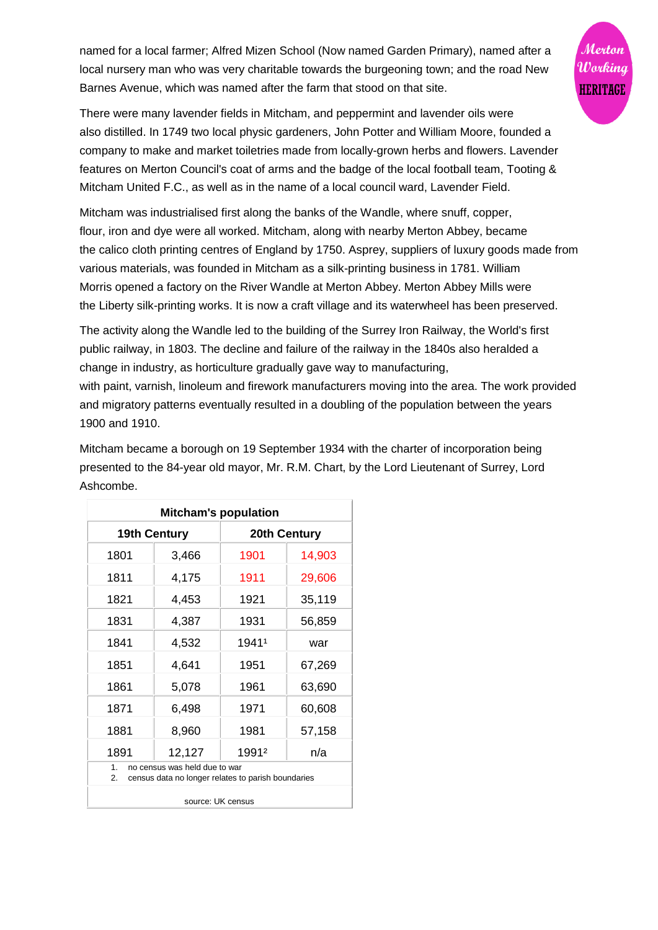named for a local farmer; Alfred Mizen School (Now named Garden Primary), named after a local nursery man who was very charitable towards the burgeoning town; and the road New Barnes Avenue, which was named after the farm that stood on that site.



There were many lavender fields in Mitcham, and [peppermint](http://en.wikipedia.org/wiki/Peppermint) and lavender oils were also [distilled.](http://en.wikipedia.org/wiki/Distillation) In 1749 two local [physic gardeners,](http://en.wikipedia.org/wiki/Herb_garden) John Potter and William Moore, founded a company to make and market toiletries made from locally-grown herbs and flowers. Lavender features on Merton Council's coat of arms and the badge of the local football team, [Tooting &](http://en.wikipedia.org/wiki/Tooting_%26_Mitcham_United_F.C.)  [Mitcham United F.C.,](http://en.wikipedia.org/wiki/Tooting_%26_Mitcham_United_F.C.) as well as in the name of a local council ward, Lavender Field.

Mitcham was industrialised first along the banks of the Wandle, where [snuff,](http://en.wikipedia.org/wiki/Snuff_(tobacco)) [copper,](http://en.wikipedia.org/wiki/Copper) flour, [iron](http://en.wikipedia.org/wiki/Iron) and [dye](http://en.wikipedia.org/wiki/Dye) were all worked. Mitcham, along with nearby [Merton Abbey,](http://en.wikipedia.org/wiki/Merton_Abbey,_London) became the [calico cloth](http://en.wikipedia.org/wiki/Calico_(fabric)) printing centres of England by 1750. [Asprey,](http://en.wikipedia.org/wiki/Asprey) suppliers of luxury goods made from various materials, was founded in Mitcham as a [silk-](http://en.wikipedia.org/wiki/Silk)printing business in 1781. [William](http://en.wikipedia.org/wiki/William_Morris)  [Morris](http://en.wikipedia.org/wiki/William_Morris) opened a factory on the River Wandle at Merton Abbey. Merton Abbey Mills were the [Liberty](http://en.wikipedia.org/wiki/Liberty_(department_store)) silk-printing works. It is now a craft village and its waterwheel has been preserved.

The activity along the Wandle led to the building of the [Surrey Iron Railway,](http://en.wikipedia.org/wiki/Surrey_Iron_Railway) the World's first public railway, in 1803. The decline and failure of the railway in the 1840s also heralded a change in industry, as horticulture gradually gave way to [manufacturing,](http://en.wikipedia.org/wiki/Manufacturing)

with [paint,](http://en.wikipedia.org/wiki/Paint) [varnish,](http://en.wikipedia.org/wiki/Varnish) [linoleum](http://en.wikipedia.org/wiki/Linoleum) and [firework](http://en.wikipedia.org/wiki/Firework) manufacturers moving into the area. The work provided and migratory patterns eventually resulted in a doubling of the population between the years 1900 and 1910.

Mitcham became a borough on 19 September 1934 with the charter of incorporation being presented to the 84-year old mayor, Mr. R.M. Chart, by the [Lord Lieutenant](http://en.wikipedia.org/wiki/Lord_Lieutenant) of Surrey, [Lord](http://en.wikipedia.org/wiki/Henry_Cubitt,_2nd_Baron_Ashcombe)  [Ashcombe.](http://en.wikipedia.org/wiki/Henry_Cubitt,_2nd_Baron_Ashcombe)

| <b>Mitcham's population</b> |                                                                                     |              |        |
|-----------------------------|-------------------------------------------------------------------------------------|--------------|--------|
| <b>19th Century</b>         |                                                                                     | 20th Century |        |
| 1801                        | 3,466                                                                               | 1901         | 14,903 |
| 1811                        | 4,175                                                                               | 1911         | 29,606 |
| 1821                        | 4,453                                                                               | 1921         | 35,119 |
| 1831                        | 4,387                                                                               | 1931         | 56,859 |
| 1841                        | 4,532                                                                               | 19411        | war    |
| 1851                        | 4,641                                                                               | 1951         | 67,269 |
| 1861                        | 5,078                                                                               | 1961         | 63,690 |
| 1871                        | 6,498                                                                               | 1971         | 60,608 |
| 1881                        | 8,960                                                                               | 1981         | 57,158 |
| 1891                        | 12,127                                                                              | 1991ª        | n/a    |
| 1 <sub>1</sub><br>2.        | no census was held due to war<br>census data no longer relates to parish boundaries |              |        |

source: [UK census](http://en.wikipedia.org/wiki/Census#United_Kingdom)